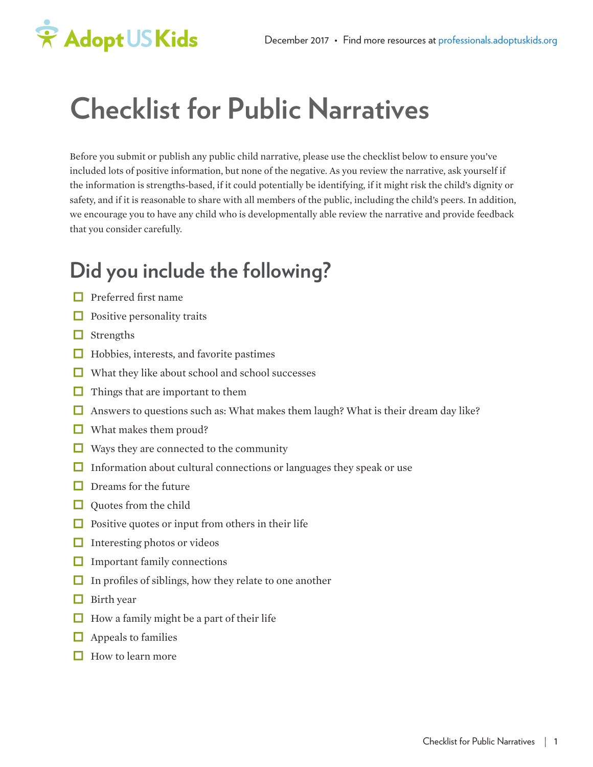# \* Adopt US Kids

## **Checklist for Public Narratives**

Before you submit or publish any public child narrative, please use the checklist below to ensure you've included lots of positive information, but none of the negative. As you review the narrative, ask yourself if the information is strengths-based, if it could potentially be identifying, if it might risk the child's dignity or safety, and if it is reasonable to share with all members of the public, including the child's peers. In addition, we encourage you to have any child who is developmentally able review the narrative and provide feedback that you consider carefully.

## **Did you include the following?**

- $\Box$  Preferred first name
- $\Box$  Positive personality traits
- $\Box$  Strengths
- $\Box$  Hobbies, interests, and favorite pastimes
- $\Box$  What they like about school and school successes
- $\Box$  Things that are important to them
- $\Box$  Answers to questions such as: What makes them laugh? What is their dream day like?
- $\Box$  What makes them proud?
- Ways they are connected to the community
- $\Box$  Information about cultural connections or languages they speak or use
- $\Box$  Dreams for the future
- $\Box$  Quotes from the child
- $\Box$  Positive quotes or input from others in their life
- $\Box$  Interesting photos or videos
- $\Box$  Important family connections
- $\Box$  In profiles of siblings, how they relate to one another
- $\Box$  Birth year
- $\Box$  How a family might be a part of their life
- $\Box$  Appeals to families
- $\Box$  How to learn more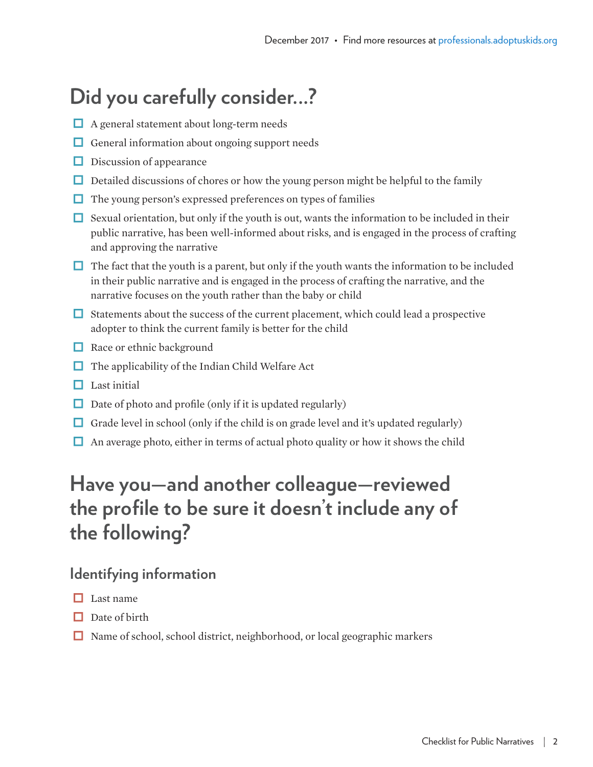## **Did you carefully consider...?**

- A general statement about long-term needs
- $\Box$  General information about ongoing support needs
- $\Box$  Discussion of appearance
- $\Box$  Detailed discussions of chores or how the young person might be helpful to the family
- $\Box$  The young person's expressed preferences on types of families
- $\Box$  Sexual orientation, but only if the youth is out, wants the information to be included in their public narrative, has been well-informed about risks, and is engaged in the process of crafting and approving the narrative
- $\Box$  The fact that the youth is a parent, but only if the youth wants the information to be included in their public narrative and is engaged in the process of crafting the narrative, and the narrative focuses on the youth rather than the baby or child
- $\Box$  Statements about the success of the current placement, which could lead a prospective adopter to think the current family is better for the child
- $\Box$  Race or ethnic background
- $\Box$  The applicability of the Indian Child Welfare Act
- $\Box$  Last initial
- $\Box$  Date of photo and profile (only if it is updated regularly)
- Grade level in school (only if the child is on grade level and it's updated regularly)
- $\Box$  An average photo, either in terms of actual photo quality or how it shows the child

### **Have you—and another colleague—reviewed the profile to be sure it doesn't include any of the following?**

#### **Identifying information**

- $\Box$  Last name
- $\Box$  Date of birth
- $\Box$  Name of school, school district, neighborhood, or local geographic markers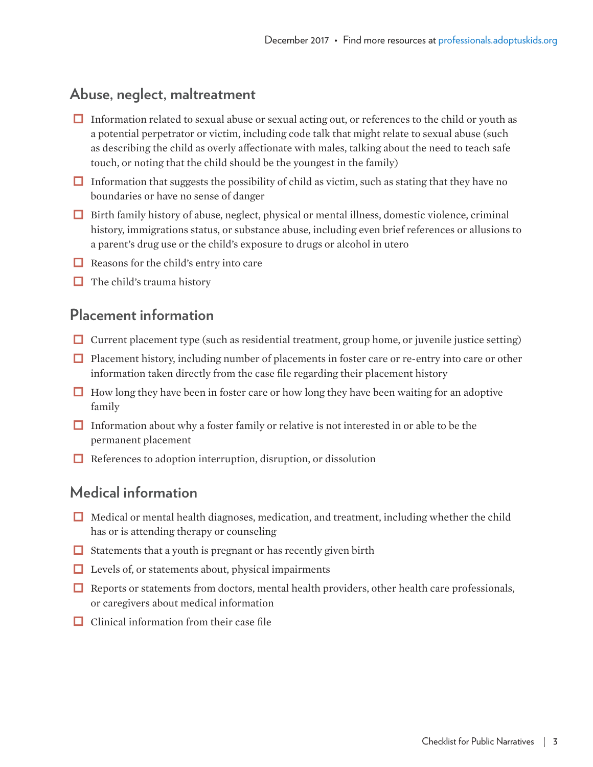#### **Abuse, neglect, maltreatment**

- $\Box$  Information related to sexual abuse or sexual acting out, or references to the child or youth as a potential perpetrator or victim, including code talk that might relate to sexual abuse (such as describing the child as overly affectionate with males, talking about the need to teach safe touch, or noting that the child should be the youngest in the family)
- Information that suggests the possibility of child as victim, such as stating that they have no boundaries or have no sense of danger
- $\Box$  Birth family history of abuse, neglect, physical or mental illness, domestic violence, criminal history, immigrations status, or substance abuse, including even brief references or allusions to a parent's drug use or the child's exposure to drugs or alcohol in utero
- $\Box$  Reasons for the child's entry into care
- $\Box$  The child's trauma history

#### **Placement information**

- $\Box$  Current placement type (such as residential treatment, group home, or juvenile justice setting)
- $\Box$  Placement history, including number of placements in foster care or re-entry into care or other information taken directly from the case file regarding their placement history
- $\Box$  How long they have been in foster care or how long they have been waiting for an adoptive family
- $\Box$  Information about why a foster family or relative is not interested in or able to be the permanent placement
- $\Box$  References to adoption interruption, disruption, or dissolution

#### **Medical information**

- $\Box$  Medical or mental health diagnoses, medication, and treatment, including whether the child has or is attending therapy or counseling
- $\Box$  Statements that a youth is pregnant or has recently given birth
- $\Box$  Levels of, or statements about, physical impairments
- $\Box$  Reports or statements from doctors, mental health providers, other health care professionals, or caregivers about medical information
- $\Box$  Clinical information from their case file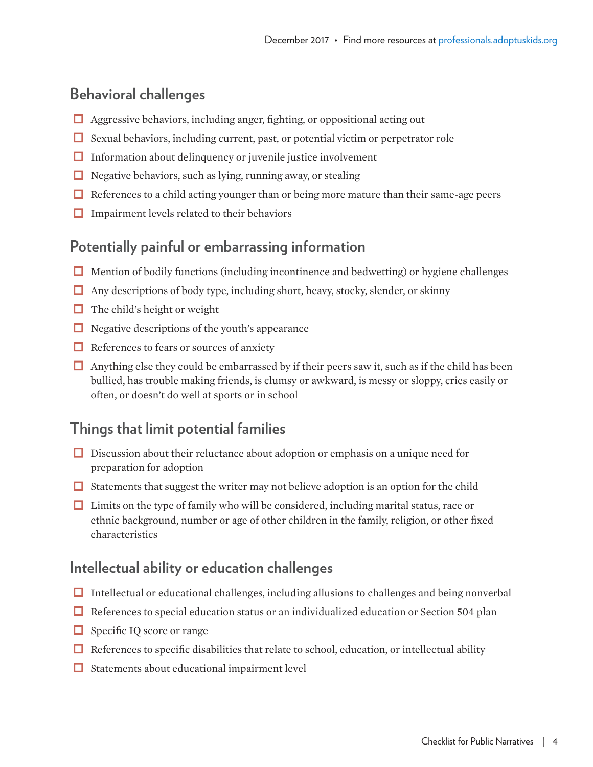#### **Behavioral challenges**

- $\Box$  Aggressive behaviors, including anger, fighting, or oppositional acting out
- $\Box$  Sexual behaviors, including current, past, or potential victim or perpetrator role
- $\Box$  Information about delinquency or juvenile justice involvement
- $\Box$  Negative behaviors, such as lying, running away, or stealing
- $\Box$  References to a child acting younger than or being more mature than their same-age peers
- $\Box$  Impairment levels related to their behaviors

#### **Potentially painful or embarrassing information**

- $\Box$  Mention of bodily functions (including incontinence and bedwetting) or hygiene challenges
- $\Box$  Any descriptions of body type, including short, heavy, stocky, slender, or skinny
- $\Box$  The child's height or weight
- $\Box$  Negative descriptions of the youth's appearance
- $\Box$  References to fears or sources of anxiety
- $\Box$  Anything else they could be embarrassed by if their peers saw it, such as if the child has been bullied, has trouble making friends, is clumsy or awkward, is messy or sloppy, cries easily or often, or doesn't do well at sports or in school

#### **Things that limit potential families**

- $\Box$  Discussion about their reluctance about adoption or emphasis on a unique need for preparation for adoption
- $\Box$  Statements that suggest the writer may not believe adoption is an option for the child
- $\Box$  Limits on the type of family who will be considered, including marital status, race or ethnic background, number or age of other children in the family, religion, or other fixed characteristics

#### **Intellectual ability or education challenges**

- $\Box$  Intellectual or educational challenges, including allusions to challenges and being nonverbal
- $\Box$  References to special education status or an individualized education or Section 504 plan
- $\Box$  Specific IQ score or range
- $\Box$  References to specific disabilities that relate to school, education, or intellectual ability
- $\Box$  Statements about educational impairment level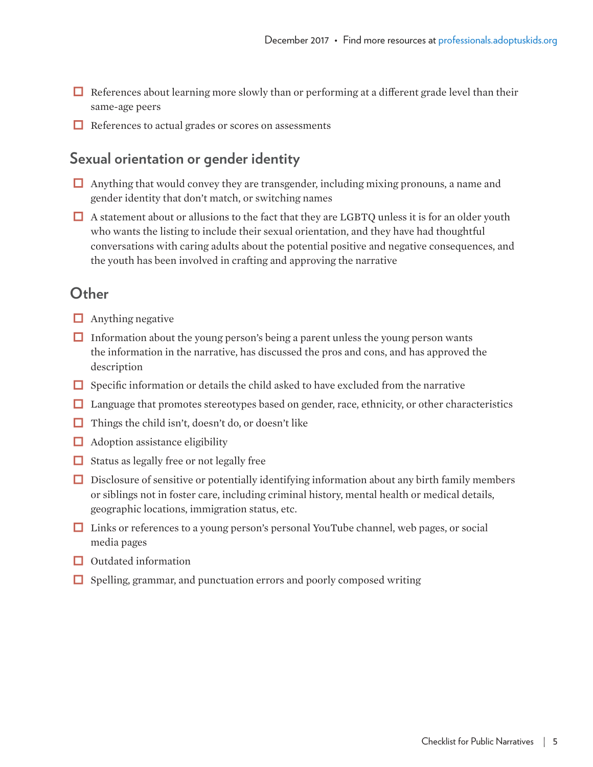- $\Box$  References about learning more slowly than or performing at a different grade level than their same-age peers
- $\Box$  References to actual grades or scores on assessments

#### **Sexual orientation or gender identity**

- $\Box$  Anything that would convey they are transgender, including mixing pronouns, a name and gender identity that don't match, or switching names
- A statement about or allusions to the fact that they are LGBTQ unless it is for an older youth who wants the listing to include their sexual orientation, and they have had thoughtful conversations with caring adults about the potential positive and negative consequences, and the youth has been involved in crafting and approving the narrative

#### **Other**

- $\Box$  Anything negative
- $\Box$  Information about the young person's being a parent unless the young person wants the information in the narrative, has discussed the pros and cons, and has approved the description
- $\Box$  Specific information or details the child asked to have excluded from the narrative
- $\Box$  Language that promotes stereotypes based on gender, race, ethnicity, or other characteristics
- $\Box$  Things the child isn't, doesn't do, or doesn't like
- $\Box$  Adoption assistance eligibility
- $\Box$  Status as legally free or not legally free
- $\Box$  Disclosure of sensitive or potentially identifying information about any birth family members or siblings not in foster care, including criminal history, mental health or medical details, geographic locations, immigration status, etc.
- $\Box$  Links or references to a young person's personal YouTube channel, web pages, or social media pages
- $\Box$  Outdated information
- $\Box$  Spelling, grammar, and punctuation errors and poorly composed writing